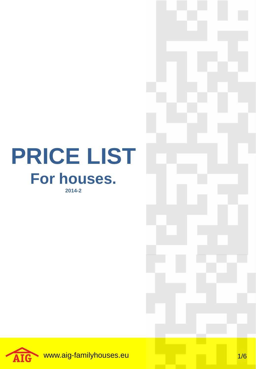## **PRICE LIST For houses. 2014-2**

www.aig-familyhouses.eu 1/6 **AIG**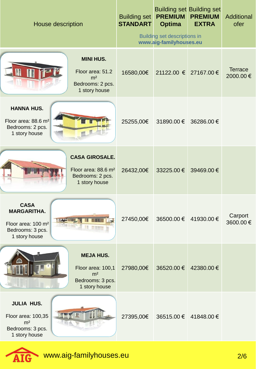| House description                                                                                               | <b>Building set</b><br><b>STANDART</b> | <b>PREMIUM</b><br><b>Optima</b><br>Building set descriptions in<br>www.aig-familyhouses.eu | <b>Building set Building set</b><br><b>PREMIUM</b><br><b>EXTRA</b> | Additional<br>ofer         |
|-----------------------------------------------------------------------------------------------------------------|----------------------------------------|--------------------------------------------------------------------------------------------|--------------------------------------------------------------------|----------------------------|
| <b>MINI HUS.</b><br>Floor area: 51.2<br>m <sup>2</sup><br>Bedrooms: 2 pcs.<br>1 story house                     | 16580,00€                              | 21122.00 € 27167.00 €                                                                      |                                                                    | <b>Terrace</b><br>2000.00€ |
| <b>HANNA HUS.</b><br>Floor area: 88.6 m <sup>2</sup><br>Bedrooms: 2 pcs.<br>1 story house                       | 25255,00€                              | 31890.00 € 36286.00 €                                                                      |                                                                    |                            |
| <b>CASA GIROSALE.</b><br>Floor area: 88.6 m <sup>2</sup><br>Bedrooms: 2 pcs.<br>1 story house                   | 26432,00€                              | 33225.00 €                                                                                 | 39469.00€                                                          |                            |
| <b>CASA</b><br><b>MARGARITHA.</b><br>Floor area: 100 m <sup>2</sup><br>977<br>Bedrooms: 3 pcs.<br>1 story house | 27450,00€                              |                                                                                            | 36500.00 € 41930.00 €                                              | Carport<br>3600.00€        |
| <b>MEJA HUS.</b><br>Floor area: 100,1<br>m <sup>2</sup><br>Bedrooms: 3 pcs.<br>1 story house                    | 27980,00€                              | 36520.00 €                                                                                 | 42380.00 €                                                         |                            |
| <b>JULIA HUS.</b><br>Floor area: 100,35<br>m <sup>2</sup><br>Bedrooms: 3 pcs.<br>1 story house                  | 27395,00€                              |                                                                                            | 36515.00 € 41848.00 €                                              |                            |

AIG www.aig-familyhouses.eu 2/6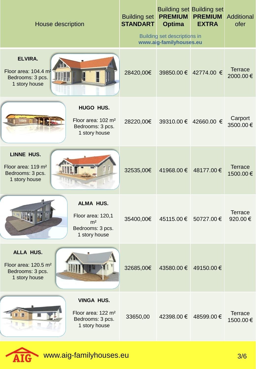| House description                                                                                            | <b>Building set</b><br><b>STANDART</b> | <b>PREMIUM</b><br><b>Optima</b><br>Building set descriptions in<br>www.aig-familyhouses.eu | <b>Building set Building set</b><br><b>PREMIUM</b><br><b>EXTRA</b> | Additional<br>ofer         |
|--------------------------------------------------------------------------------------------------------------|----------------------------------------|--------------------------------------------------------------------------------------------|--------------------------------------------------------------------|----------------------------|
| <b>ELVIRA.</b><br>Floor area: 104.4 m <sup>2</sup><br>Bedrooms: 3 pcs.<br>1 story house                      | 28420,00€                              |                                                                                            | 39850.00 € 42774.00 €                                              | <b>Terrace</b><br>2000.00€ |
| <b>HUGO HUS.</b><br>Floor area: 102 m <sup>2</sup><br>Bedrooms: 3 pcs.<br>1 story house                      | 28220,00€                              |                                                                                            | 39310.00 € 42660.00 €                                              | Carport<br>3500.00€        |
| <b>LINNE HUS.</b><br>Floor area: 119 m <sup>2</sup><br>Bedrooms: 3 pcs.<br>1 story house                     | 32535,00€                              | 41968.00 €                                                                                 | 48177.00 €                                                         | <b>Terrace</b><br>1500.00€ |
| <b>ALMA HUS.</b><br><b>THEFT</b><br>Floor area: 120,1<br>m <sup>2</sup><br>Bedrooms: 3 pcs.<br>1 story house | 35400,00€                              |                                                                                            | 45115.00 € 50727.00 €                                              | <b>Terrace</b><br>920.00€  |
| ALLA HUS.<br>Floor area: 120.5 m <sup>2</sup><br>Bedrooms: 3 pcs.<br>1 story house                           | 32685,00€                              | 43580.00€                                                                                  | 49150.00€                                                          |                            |
| <b>VINGA HUS.</b><br>Floor area: 122 m <sup>2</sup><br>Bedrooms: 3 pcs.<br>1 story house                     | 33650,00                               | 42398.00 €                                                                                 | 48599.00€                                                          | <b>Terrace</b><br>1500.00€ |

AIG www.aig-familyhouses.eu 3/6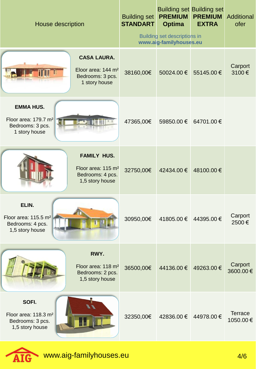| House description                                                                         |                                                                                             | <b>Building set</b><br><b>STANDART</b> | <b>PREMIUM</b><br><b>Optima</b><br>Building set descriptions in<br>www.aig-familyhouses.eu | <b>Building set Building set</b><br><b>PREMIUM</b><br><b>EXTRA</b> | Additional<br>ofer         |
|-------------------------------------------------------------------------------------------|---------------------------------------------------------------------------------------------|----------------------------------------|--------------------------------------------------------------------------------------------|--------------------------------------------------------------------|----------------------------|
|                                                                                           |                                                                                             |                                        |                                                                                            |                                                                    |                            |
|                                                                                           | <b>CASA LAURA.</b><br>Eloor area: 144 m <sup>2</sup><br>Bedrooms: 3 pcs.<br>1 story house   | 38160,00€                              | 50024.00 €                                                                                 | 55145.00€                                                          | Carport<br>3100€           |
| <b>EMMA HUS.</b><br>Floor area: 179.7 m <sup>2</sup><br>Bedrooms: 3 pcs.<br>1 story house |                                                                                             | 47365,00€                              | 59850.00 €                                                                                 | 64701.00 €                                                         |                            |
|                                                                                           | <b>FAMILY HUS.</b><br>Floor area: 115 m <sup>2</sup><br>Bedrooms: 4 pcs.<br>1,5 story house | 32750,00€                              | 42434.00 €                                                                                 | 48100.00€                                                          |                            |
| ELIN.<br>Floor area: 115.5 m <sup>2</sup><br>Bedrooms: 4 pcs.<br>1,5 story house          |                                                                                             | 30950,00€                              | 41805.00 € 44395.00 €                                                                      |                                                                    | Carport<br>2500€           |
|                                                                                           | RWY.<br>Floor area: 118 m <sup>2</sup><br>Bedrooms: 2 pcs.<br>1,5 story house               | 36500,00€                              | 44136.00 €                                                                                 | 49263.00€                                                          | Carport<br>3600.00€        |
| SOFI.<br>Floor area: 118.3 m <sup>2</sup><br>Bedrooms: 3 pcs.<br>1,5 story house          |                                                                                             | 32350,00€                              | 42836.00 €                                                                                 | 44978.00 €                                                         | <b>Terrace</b><br>1050.00€ |

AIG www.aig-familyhouses.eu 4/6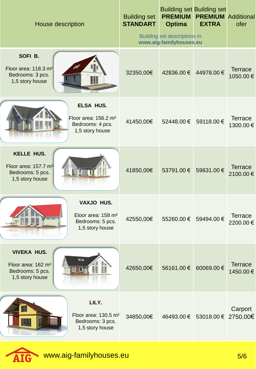| House description                                                                                  | <b>Building set</b><br><b>STANDART</b> | <b>PREMIUM</b><br><b>Optima</b><br><b>Building set descriptions in</b><br>www.aig-familyhouses.eu | <b>Building set Building set</b><br><b>PREMIUM</b><br><b>EXTRA</b> | Additional<br>ofer         |
|----------------------------------------------------------------------------------------------------|----------------------------------------|---------------------------------------------------------------------------------------------------|--------------------------------------------------------------------|----------------------------|
| SOFI B.<br>Floor area: 118.3 m <sup>2</sup><br>Bedrooms: 3 pcs.<br>∭<br>1,5 story house            | 32350,00€                              | 42836.00 €                                                                                        | 44978.00 €                                                         | <b>Terrace</b><br>1050.00€ |
| <b>ELSA HUS.</b><br>Floor area: 156.2 m <sup>2</sup><br>Bedrooms: 4 pcs.<br>1,5 story house        | 41450,00€                              |                                                                                                   | 52448.00 € 59118.00 €                                              | <b>Terrace</b><br>1300.00€ |
| <b>KELLE HUS.</b><br>Floor area: 157.7 m <sup>2</sup><br>Bedrooms: 5 pcs.<br>1,5 story house       | 41850,00€                              | 53791.00 €                                                                                        | 59631.00€                                                          | <b>Terrace</b><br>2100.00€ |
| VAXJO HUS.<br>Eloor area: 158 m <sup>2</sup><br>Bedrooms: 5 pcs.<br>1,5 story house                | 42550,00€                              | 55260.00 €                                                                                        | 59494.00€                                                          | <b>Terrace</b><br>2200.00€ |
| <b>VIVEKA HUS.</b><br>n m<br>Floor area: 162 m <sup>2</sup><br>Bedrooms: 5 pcs.<br>1,5 story house | 42650,00€                              | 56161.00€                                                                                         | 60069.00€                                                          | <b>Terrace</b><br>1450.00€ |
| LILY.<br>Floor area: $130.5 \text{ m}^2$<br>Bedrooms: 3 pcs.<br>1,5 story house                    | 34850,00€                              |                                                                                                   | 46493.00 € 53018.00 € 2750.00 €                                    | Carport                    |

AIG www.aig-familyhouses.eu 5/6